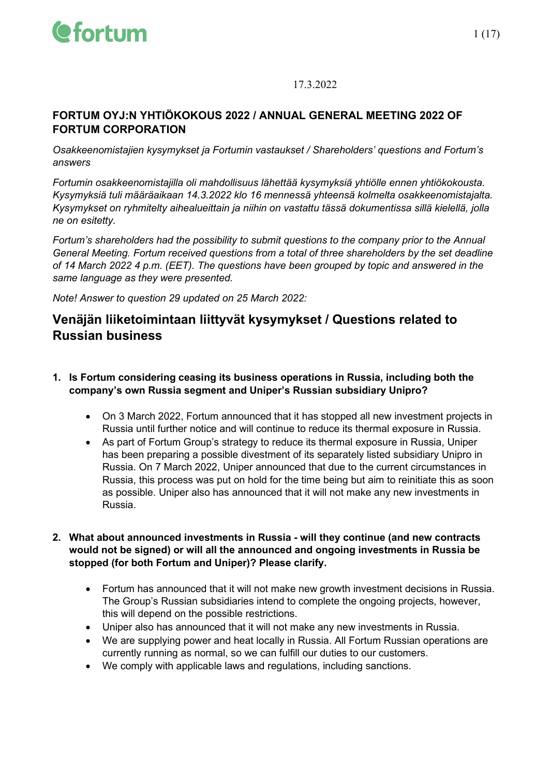

17.3.2022

#### **FORTUM OYJ:N YHTIÖKOKOUS 2022 / ANNUAL GENERAL MEETING 2022 OF FORTUM CORPORATION**

*Osakkeenomistajien kysymykset ja Fortumin vastaukset / Shareholders' questions and Fortum's answers*

*Fortumin osakkeenomistajilla oli mahdollisuus lähettää kysymyksiä yhtiölle ennen yhtiökokousta. Kysymyksiä tuli määräaikaan 14.3.2022 klo 16 mennessä yhteensä kolmelta osakkeenomistajalta. Kysymykset on ryhmitelty aihealueittain ja niihin on vastattu tässä dokumentissa sillä kielellä, jolla ne on esitetty.*

*Fortum's shareholders had the possibility to submit questions to the company prior to the Annual General Meeting. Fortum received questions from a total of three shareholders by the set deadline of 14 March 2022 4 p.m. (EET). The questions have been grouped by topic and answered in the same language as they were presented.*

*Note! Answer to question 29 updated on 25 March 2022:*

### **Venäjän liiketoimintaan liittyvät kysymykset / Questions related to Russian business**

#### **1. Is Fortum considering ceasing its business operations in Russia, including both the company's own Russia segment and Uniper's Russian subsidiary Unipro?**

- On 3 March 2022, Fortum announced that it has stopped all new investment projects in Russia until further notice and will continue to reduce its thermal exposure in Russia.
- As part of Fortum Group's strategy to reduce its thermal exposure in Russia, Uniper has been preparing a possible divestment of its separately listed subsidiary Unipro in Russia. On 7 March 2022, Uniper announced that due to the current circumstances in Russia, this process was put on hold for the time being but aim to reinitiate this as soon as possible. Uniper also has announced that it will not make any new investments in Russia.
- **2. What about announced investments in Russia - will they continue (and new contracts would not be signed) or will all the announced and ongoing investments in Russia be stopped (for both Fortum and Uniper)? Please clarify.** 
	- Fortum has announced that it will not make new growth investment decisions in Russia. The Group's Russian subsidiaries intend to complete the ongoing projects, however, this will depend on the possible restrictions.
	- Uniper also has announced that it will not make any new investments in Russia.
	- We are supplying power and heat locally in Russia. All Fortum Russian operations are currently running as normal, so we can fulfill our duties to our customers.
	- We comply with applicable laws and regulations, including sanctions.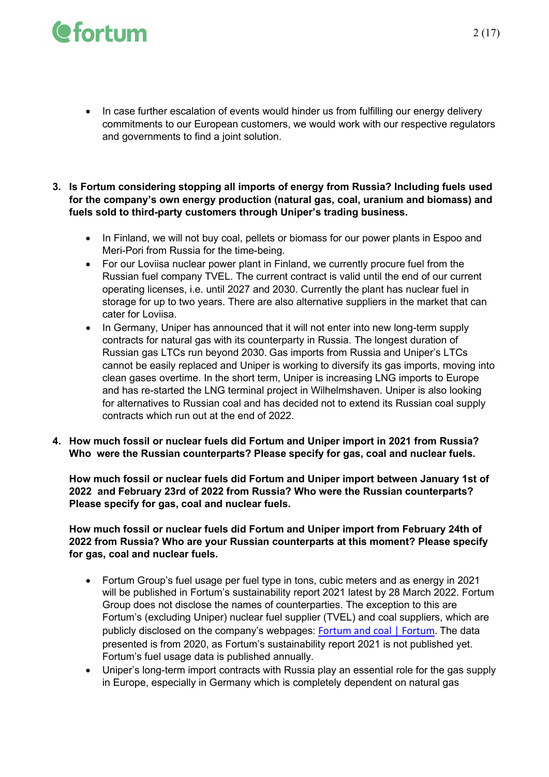## *<u>Cfortum</u>*

- In case further escalation of events would hinder us from fulfilling our energy delivery commitments to our European customers, we would work with our respective regulators and governments to find a joint solution.
- **3. Is Fortum considering stopping all imports of energy from Russia? Including fuels used for the company's own energy production (natural gas, coal, uranium and biomass) and fuels sold to third-party customers through Uniper's trading business.** 
	- In Finland, we will not buy coal, pellets or biomass for our power plants in Espoo and Meri-Pori from Russia for the time-being.
	- For our Loviisa nuclear power plant in Finland, we currently procure fuel from the Russian fuel company TVEL. The current contract is valid until the end of our current operating licenses, i.e. until 2027 and 2030. Currently the plant has nuclear fuel in storage for up to two years. There are also alternative suppliers in the market that can cater for Loviisa.
	- In Germany, Uniper has announced that it will not enter into new long-term supply contracts for natural gas with its counterparty in Russia. The longest duration of Russian gas LTCs run beyond 2030. Gas imports from Russia and Uniper's LTCs cannot be easily replaced and Uniper is working to diversify its gas imports, moving into clean gases overtime. In the short term, Uniper is increasing LNG imports to Europe and has re-started the LNG terminal project in Wilhelmshaven. Uniper is also looking for alternatives to Russian coal and has decided not to extend its Russian coal supply contracts which run out at the end of 2022.
- **4. How much fossil or nuclear fuels did Fortum and Uniper import in 2021 from Russia? Who were the Russian counterparts? Please specify for gas, coal and nuclear fuels.**

**How much fossil or nuclear fuels did Fortum and Uniper import between January 1st of 2022 and February 23rd of 2022 from Russia? Who were the Russian counterparts? Please specify for gas, coal and nuclear fuels.**

**How much fossil or nuclear fuels did Fortum and Uniper import from February 24th of 2022 from Russia? Who are your Russian counterparts at this moment? Please specify for gas, coal and nuclear fuels.** 

- Fortum Group's fuel usage per fuel type in tons, cubic meters and as energy in 2021 will be published in Fortum's sustainability report 2021 latest by 28 March 2022. Fortum Group does not disclose the names of counterparties. The exception to this are Fortum's (excluding Uniper) nuclear fuel supplier (TVEL) and coal suppliers, which are publicly disclosed on the company's webpages: [Fortum and coal | Fortum.](https://www.fortum.com/about-us/newsroom/press-kits/fortum-and-coal) The data presented is from 2020, as Fortum's sustainability report 2021 is not published yet. Fortum's fuel usage data is published annually.
- Uniper's long-term import contracts with Russia play an essential role for the gas supply in Europe, especially in Germany which is completely dependent on natural gas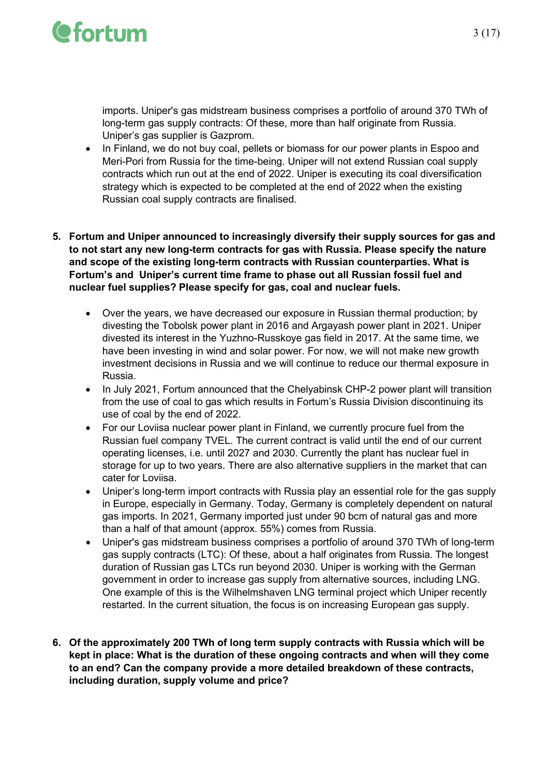

imports. Uniper's gas midstream business comprises a portfolio of around 370 TWh of long-term gas supply contracts: Of these, more than half originate from Russia. Uniper's gas supplier is Gazprom.

- In Finland, we do not buy coal, pellets or biomass for our power plants in Espoo and Meri-Pori from Russia for the time-being. Uniper will not extend Russian coal supply contracts which run out at the end of 2022. Uniper is executing its coal diversification strategy which is expected to be completed at the end of 2022 when the existing Russian coal supply contracts are finalised.
- **5. Fortum and Uniper announced to increasingly diversify their supply sources for gas and to not start any new long-term contracts for gas with Russia. Please specify the nature and scope of the existing long-term contracts with Russian counterparties. What is Fortum's and Uniper's current time frame to phase out all Russian fossil fuel and nuclear fuel supplies? Please specify for gas, coal and nuclear fuels.**
	- Over the years, we have decreased our exposure in Russian thermal production; by divesting the Tobolsk power plant in 2016 and Argayash power plant in 2021. Uniper divested its interest in the Yuzhno-Russkoye gas field in 2017. At the same time, we have been investing in wind and solar power. For now, we will not make new growth investment decisions in Russia and we will continue to reduce our thermal exposure in Russia.
	- In July 2021, Fortum announced that the Chelyabinsk CHP-2 power plant will transition from the use of coal to gas which results in Fortum's Russia Division discontinuing its use of coal by the end of 2022.
	- For our Loviisa nuclear power plant in Finland, we currently procure fuel from the Russian fuel company TVEL. The current contract is valid until the end of our current operating licenses, i.e. until 2027 and 2030. Currently the plant has nuclear fuel in storage for up to two years. There are also alternative suppliers in the market that can cater for Loviisa.
	- Uniper's long-term import contracts with Russia play an essential role for the gas supply in Europe, especially in Germany. Today, Germany is completely dependent on natural gas imports. In 2021, Germany imported just under 90 bcm of natural gas and more than a half of that amount (approx. 55%) comes from Russia.
	- Uniper's gas midstream business comprises a portfolio of around 370 TWh of long-term gas supply contracts (LTC): Of these, about a half originates from Russia. The longest duration of Russian gas LTCs run beyond 2030. Uniper is working with the German government in order to increase gas supply from alternative sources, including LNG. One example of this is the Wilhelmshaven LNG terminal project which Uniper recently restarted. In the current situation, the focus is on increasing European gas supply.
- **6. Of the approximately 200 TWh of long term supply contracts with Russia which will be kept in place: What is the duration of these ongoing contracts and when will they come to an end? Can the company provide a more detailed breakdown of these contracts, including duration, supply volume and price?**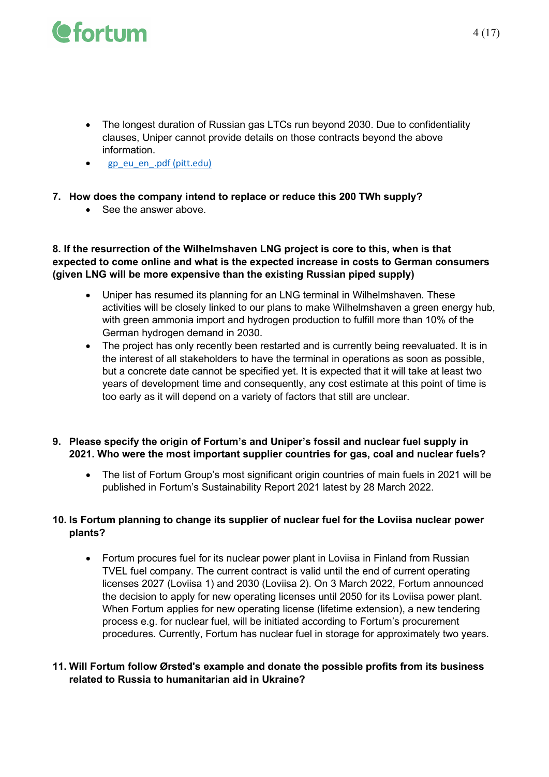- The longest duration of Russian gas LTCs run beyond 2030. Due to confidentiality clauses, Uniper cannot provide details on those contracts beyond the above information.
- [gp\\_eu\\_en\\_.pdf \(pitt.edu\)](https://eur01.safelinks.protection.outlook.com/?url=http%3A%2F%2Faei.pitt.edu%2F57997%2F1%2Fgp_eu_en_.pdf&data=04%7C01%7CIngela.Ulfves%40fortum.com%7C9241f28fb67648193d4608da066ebfb1%7C62a9c2c88b0943bea7fb9a87875714a9%7C1%7C0%7C637829369973993172%7CUnknown%7CTWFpbGZsb3d8eyJWIjoiMC4wLjAwMDAiLCJQIjoiV2luMzIiLCJBTiI6Ik1haWwiLCJXVCI6Mn0%3D%7C3000&sdata=islkk8C77O8Kdb4WGViii%2FLVp6xUmgAE%2FizNqpZU9YE%3D&reserved=0)

#### **7. How does the company intend to replace or reduce this 200 TWh supply?**

• See the answer above

#### **8. If the resurrection of the Wilhelmshaven LNG project is core to this, when is that expected to come online and what is the expected increase in costs to German consumers (given LNG will be more expensive than the existing Russian piped supply)**

- Uniper has resumed its planning for an LNG terminal in Wilhelmshaven. These activities will be closely linked to our plans to make Wilhelmshaven a green energy hub, with green ammonia import and hydrogen production to fulfill more than 10% of the German hydrogen demand in 2030.
- The project has only recently been restarted and is currently being reevaluated. It is in the interest of all stakeholders to have the terminal in operations as soon as possible, but a concrete date cannot be specified yet. It is expected that it will take at least two years of development time and consequently, any cost estimate at this point of time is too early as it will depend on a variety of factors that still are unclear.

#### **9. Please specify the origin of Fortum's and Uniper's fossil and nuclear fuel supply in 2021. Who were the most important supplier countries for gas, coal and nuclear fuels?**

• The list of Fortum Group's most significant origin countries of main fuels in 2021 will be published in Fortum's Sustainability Report 2021 latest by 28 March 2022.

#### **10. Is Fortum planning to change its supplier of nuclear fuel for the Loviisa nuclear power plants?**

• Fortum procures fuel for its nuclear power plant in Loviisa in Finland from Russian TVEL fuel company. The current contract is valid until the end of current operating licenses 2027 (Loviisa 1) and 2030 (Loviisa 2). On 3 March 2022, Fortum announced the decision to apply for new operating licenses until 2050 for its Loviisa power plant. When Fortum applies for new operating license (lifetime extension), a new tendering process e.g. for nuclear fuel, will be initiated according to Fortum's procurement procedures. Currently, Fortum has nuclear fuel in storage for approximately two years.

#### **11. Will Fortum follow Ørsted's example and donate the possible profits from its business related to Russia to humanitarian aid in Ukraine?**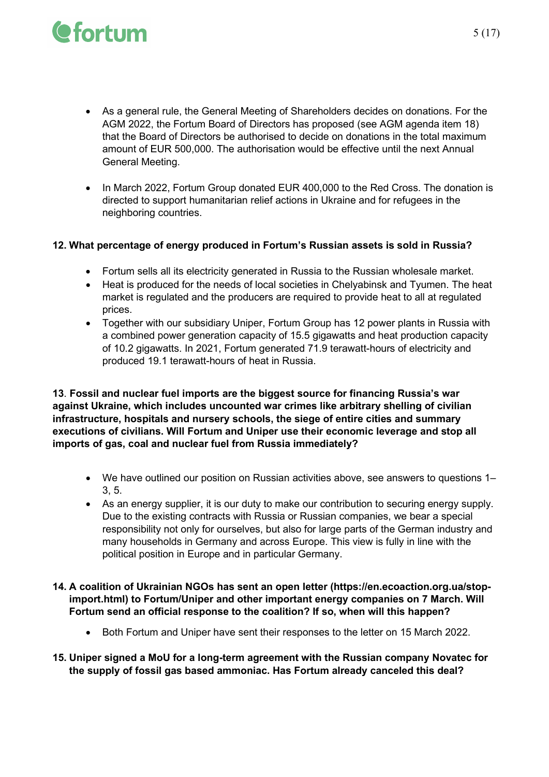- As a general rule, the General Meeting of Shareholders decides on donations. For the AGM 2022, the Fortum Board of Directors has proposed (see AGM agenda item 18) that the Board of Directors be authorised to decide on donations in the total maximum amount of EUR 500,000. The authorisation would be effective until the next Annual General Meeting.
- In March 2022, Fortum Group donated EUR 400,000 to the Red Cross. The donation is directed to support humanitarian relief actions in Ukraine and for refugees in the neighboring countries.

#### **12. What percentage of energy produced in Fortum's Russian assets is sold in Russia?**

- Fortum sells all its electricity generated in Russia to the Russian wholesale market.
- Heat is produced for the needs of local societies in Chelyabinsk and Tyumen. The heat market is regulated and the producers are required to provide heat to all at regulated prices.
- Together with our subsidiary Uniper, Fortum Group has 12 power plants in Russia with a combined power generation capacity of 15.5 gigawatts and heat production capacity of 10.2 gigawatts. In 2021, Fortum generated 71.9 terawatt-hours of electricity and produced 19.1 terawatt-hours of heat in Russia.

**13**. **Fossil and nuclear fuel imports are the biggest source for financing Russia's war against Ukraine, which includes uncounted war crimes like arbitrary shelling of civilian infrastructure, hospitals and nursery schools, the siege of entire cities and summary executions of civilians. Will Fortum and Uniper use their economic leverage and stop all imports of gas, coal and nuclear fuel from Russia immediately?**

- We have outlined our position on Russian activities above, see answers to questions 1– 3, 5.
- As an energy supplier, it is our duty to make our contribution to securing energy supply. Due to the existing contracts with Russia or Russian companies, we bear a special responsibility not only for ourselves, but also for large parts of the German industry and many households in Germany and across Europe. This view is fully in line with the political position in Europe and in particular Germany.
- **14. A coalition of Ukrainian NGOs has sent an open letter (https://en.ecoaction.org.ua/stopimport.html) to Fortum/Uniper and other important energy companies on 7 March. Will Fortum send an official response to the coalition? If so, when will this happen?** 
	- Both Fortum and Uniper have sent their responses to the letter on 15 March 2022.
- **15. Uniper signed a MoU for a long-term agreement with the Russian company Novatec for the supply of fossil gas based ammoniac. Has Fortum already canceled this deal?**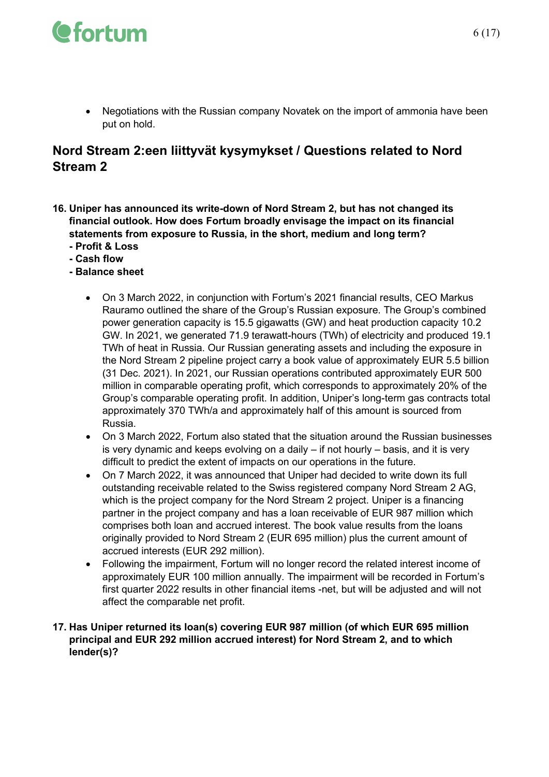

• Negotiations with the Russian company Novatek on the import of ammonia have been put on hold.

### **Nord Stream 2:een liittyvät kysymykset / Questions related to Nord Stream 2**

- **16. Uniper has announced its write-down of Nord Stream 2, but has not changed its financial outlook. How does Fortum broadly envisage the impact on its financial statements from exposure to Russia, in the short, medium and long term?** 
	- **- Profit & Loss**
	- **- Cash flow**
	- **- Balance sheet**
		- On 3 March 2022, in conjunction with Fortum's 2021 financial results, CEO Markus Rauramo outlined the share of the Group's Russian exposure. The Group's combined power generation capacity is 15.5 gigawatts (GW) and heat production capacity 10.2 GW. In 2021, we generated 71.9 terawatt-hours (TWh) of electricity and produced 19.1 TWh of heat in Russia. Our Russian generating assets and including the exposure in the Nord Stream 2 pipeline project carry a book value of approximately EUR 5.5 billion (31 Dec. 2021). In 2021, our Russian operations contributed approximately EUR 500 million in comparable operating profit, which corresponds to approximately 20% of the Group's comparable operating profit. In addition, Uniper's long-term gas contracts total approximately 370 TWh/a and approximately half of this amount is sourced from Russia.
		- On 3 March 2022, Fortum also stated that the situation around the Russian businesses is very dynamic and keeps evolving on a daily – if not hourly – basis, and it is very difficult to predict the extent of impacts on our operations in the future.
		- On 7 March 2022, it was announced that Uniper had decided to write down its full outstanding receivable related to the Swiss registered company Nord Stream 2 AG, which is the project company for the Nord Stream 2 project. Uniper is a financing partner in the project company and has a loan receivable of EUR 987 million which comprises both loan and accrued interest. The book value results from the loans originally provided to Nord Stream 2 (EUR 695 million) plus the current amount of accrued interests (EUR 292 million).
		- Following the impairment, Fortum will no longer record the related interest income of approximately EUR 100 million annually. The impairment will be recorded in Fortum's first quarter 2022 results in other financial items -net, but will be adjusted and will not affect the comparable net profit.

#### **17. Has Uniper returned its loan(s) covering EUR 987 million (of which EUR 695 million principal and EUR 292 million accrued interest) for Nord Stream 2, and to which lender(s)?**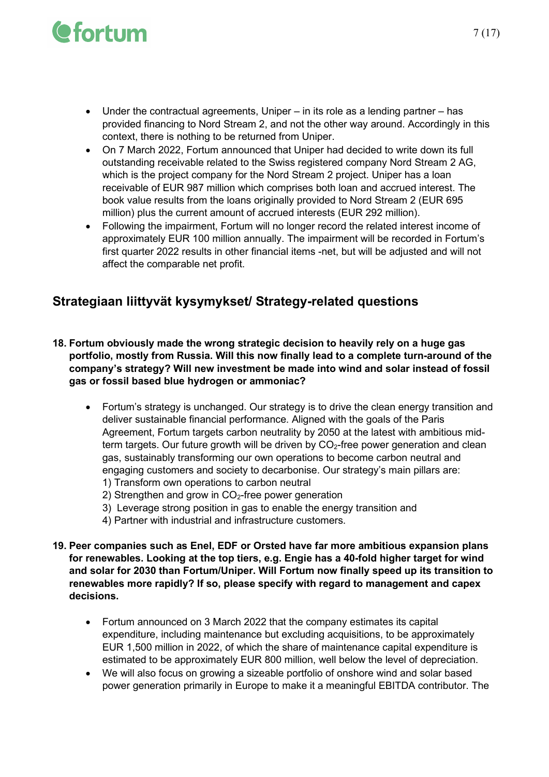- Under the contractual agreements, Uniper in its role as a lending partner has provided financing to Nord Stream 2, and not the other way around. Accordingly in this context, there is nothing to be returned from Uniper.
- On 7 March 2022, Fortum announced that Uniper had decided to write down its full outstanding receivable related to the Swiss registered company Nord Stream 2 AG, which is the project company for the Nord Stream 2 project. Uniper has a loan receivable of EUR 987 million which comprises both loan and accrued interest. The book value results from the loans originally provided to Nord Stream 2 (EUR 695 million) plus the current amount of accrued interests (EUR 292 million).
- Following the impairment, Fortum will no longer record the related interest income of approximately EUR 100 million annually. The impairment will be recorded in Fortum's first quarter 2022 results in other financial items -net, but will be adjusted and will not affect the comparable net profit.

### **Strategiaan liittyvät kysymykset/ Strategy-related questions**

- **18. Fortum obviously made the wrong strategic decision to heavily rely on a huge gas portfolio, mostly from Russia. Will this now finally lead to a complete turn-around of the company's strategy? Will new investment be made into wind and solar instead of fossil gas or fossil based blue hydrogen or ammoniac?** 
	- Fortum's strategy is unchanged. Our strategy is to drive the clean energy transition and deliver sustainable financial performance. Aligned with the goals of the Paris Agreement, Fortum targets carbon neutrality by 2050 at the latest with ambitious midterm targets. Our future growth will be driven by  $CO<sub>2</sub>$ -free power generation and clean gas, sustainably transforming our own operations to become carbon neutral and engaging customers and society to decarbonise. Our strategy's main pillars are: 1) Transform own operations to carbon neutral
		- 2) Strengthen and grow in  $CO<sub>2</sub>$ -free power generation
		- 3) Leverage strong position in gas to enable the energy transition and
		- 4) Partner with industrial and infrastructure customers.
- **19. Peer companies such as Enel, EDF or Orsted have far more ambitious expansion plans for renewables. Looking at the top tiers, e.g. Engie has a 40-fold higher target for wind and solar for 2030 than Fortum/Uniper. Will Fortum now finally speed up its transition to renewables more rapidly? If so, please specify with regard to management and capex decisions.** 
	- Fortum announced on 3 March 2022 that the company estimates its capital expenditure, including maintenance but excluding acquisitions, to be approximately EUR 1,500 million in 2022, of which the share of maintenance capital expenditure is estimated to be approximately EUR 800 million, well below the level of depreciation.
	- We will also focus on growing a sizeable portfolio of onshore wind and solar based power generation primarily in Europe to make it a meaningful EBITDA contributor. The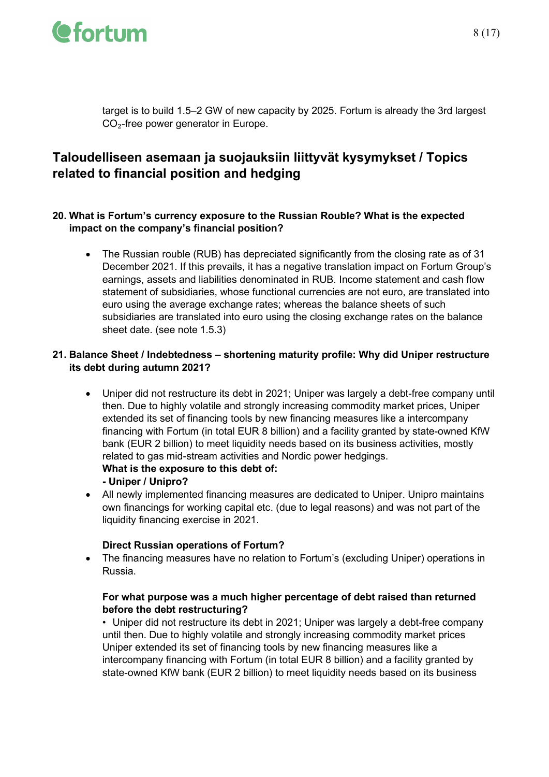

target is to build 1.5–2 GW of new capacity by 2025. Fortum is already the 3rd largest CO₂-free power generator in Europe.

### **Taloudelliseen asemaan ja suojauksiin liittyvät kysymykset / Topics related to financial position and hedging**

#### **20. What is Fortum's currency exposure to the Russian Rouble? What is the expected impact on the company's financial position?**

• The Russian rouble (RUB) has depreciated significantly from the closing rate as of 31 December 2021. If this prevails, it has a negative translation impact on Fortum Group's earnings, assets and liabilities denominated in RUB. Income statement and cash flow statement of subsidiaries, whose functional currencies are not euro, are translated into euro using the average exchange rates; whereas the balance sheets of such subsidiaries are translated into euro using the closing exchange rates on the balance sheet date. (see note 1.5.3)

#### **21. Balance Sheet / Indebtedness – shortening maturity profile: Why did Uniper restructure its debt during autumn 2021?**

• Uniper did not restructure its debt in 2021; Uniper was largely a debt-free company until then. Due to highly volatile and strongly increasing commodity market prices, Uniper extended its set of financing tools by new financing measures like a intercompany financing with Fortum (in total EUR 8 billion) and a facility granted by state-owned KfW bank (EUR 2 billion) to meet liquidity needs based on its business activities, mostly related to gas mid-stream activities and Nordic power hedgings.

#### **What is the exposure to this debt of:**

#### **- Uniper / Unipro?**

• All newly implemented financing measures are dedicated to Uniper. Unipro maintains own financings for working capital etc. (due to legal reasons) and was not part of the liquidity financing exercise in 2021.

#### **Direct Russian operations of Fortum?**

• The financing measures have no relation to Fortum's (excluding Uniper) operations in Russia.

#### **For what purpose was a much higher percentage of debt raised than returned before the debt restructuring?**

• Uniper did not restructure its debt in 2021; Uniper was largely a debt-free company until then. Due to highly volatile and strongly increasing commodity market prices Uniper extended its set of financing tools by new financing measures like a intercompany financing with Fortum (in total EUR 8 billion) and a facility granted by state-owned KfW bank (EUR 2 billion) to meet liquidity needs based on its business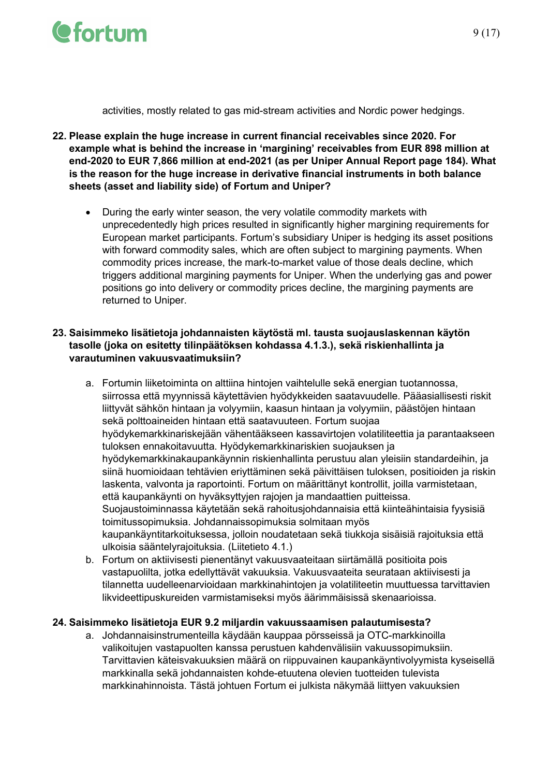

activities, mostly related to gas mid-stream activities and Nordic power hedgings.

- **22. Please explain the huge increase in current financial receivables since 2020. For example what is behind the increase in 'margining' receivables from EUR 898 million at end-2020 to EUR 7,866 million at end-2021 (as per Uniper Annual Report page 184). What is the reason for the huge increase in derivative financial instruments in both balance sheets (asset and liability side) of Fortum and Uniper?** 
	- During the early winter season, the very volatile commodity markets with unprecedentedly high prices resulted in significantly higher margining requirements for European market participants. Fortum's subsidiary Uniper is hedging its asset positions with forward commodity sales, which are often subject to margining payments. When commodity prices increase, the mark-to-market value of those deals decline, which triggers additional margining payments for Uniper. When the underlying gas and power positions go into delivery or commodity prices decline, the margining payments are returned to Uniper.

#### **23. Saisimmeko lisätietoja johdannaisten käytöstä ml. tausta suojauslaskennan käytön tasolle (joka on esitetty tilinpäätöksen kohdassa 4.1.3.), sekä riskienhallinta ja varautuminen vakuusvaatimuksiin?**

- a. Fortumin liiketoiminta on alttiina hintojen vaihtelulle sekä energian tuotannossa, siirrossa että myynnissä käytettävien hyödykkeiden saatavuudelle. Pääasiallisesti riskit liittyvät sähkön hintaan ja volyymiin, kaasun hintaan ja volyymiin, päästöjen hintaan sekä polttoaineiden hintaan että saatavuuteen. Fortum suojaa hyödykemarkkinariskejään vähentääkseen kassavirtojen volatiliteettia ja parantaakseen tuloksen ennakoitavuutta. Hyödykemarkkinariskien suojauksen ja hyödykemarkkinakaupankäynnin riskienhallinta perustuu alan yleisiin standardeihin, ja siinä huomioidaan tehtävien eriyttäminen sekä päivittäisen tuloksen, positioiden ja riskin laskenta, valvonta ja raportointi. Fortum on määrittänyt kontrollit, joilla varmistetaan, että kaupankäynti on hyväksyttyjen rajojen ja mandaattien puitteissa. Suojaustoiminnassa käytetään sekä rahoitusjohdannaisia että kiinteähintaisia fyysisiä toimitussopimuksia. Johdannaissopimuksia solmitaan myös kaupankäyntitarkoituksessa, jolloin noudatetaan sekä tiukkoja sisäisiä rajoituksia että ulkoisia sääntelyrajoituksia. (Liitetieto 4.1.)
- b. Fortum on aktiivisesti pienentänyt vakuusvaateitaan siirtämällä positioita pois vastapuolilta, jotka edellyttävät vakuuksia. Vakuusvaateita seurataan aktiivisesti ja tilannetta uudelleenarvioidaan markkinahintojen ja volatiliteetin muuttuessa tarvittavien likvideettipuskureiden varmistamiseksi myös äärimmäisissä skenaarioissa.

#### **24. Saisimmeko lisätietoja EUR 9.2 miljardin vakuussaamisen palautumisesta?**

a. Johdannaisinstrumenteilla käydään kauppaa pörsseissä ja OTC-markkinoilla valikoitujen vastapuolten kanssa perustuen kahdenvälisiin vakuussopimuksiin. Tarvittavien käteisvakuuksien määrä on riippuvainen kaupankäyntivolyymista kyseisellä markkinalla sekä johdannaisten kohde-etuutena olevien tuotteiden tulevista markkinahinnoista. Tästä johtuen Fortum ei julkista näkymää liittyen vakuuksien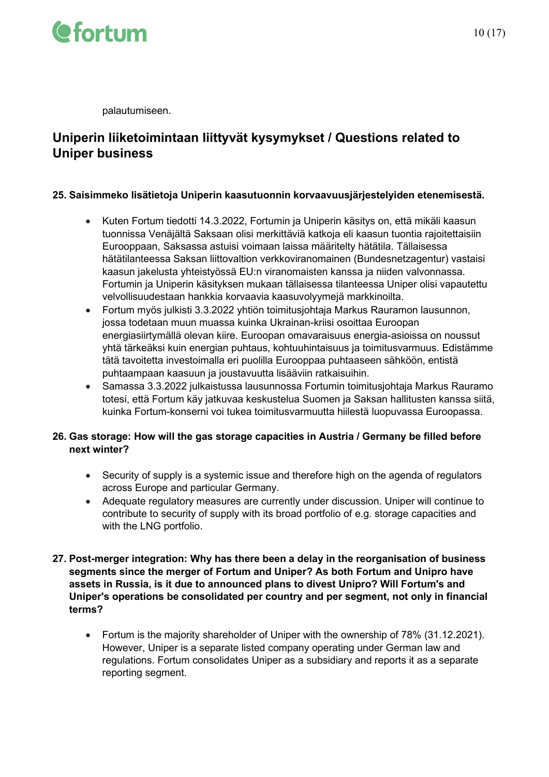

palautumiseen.

### **Uniperin liiketoimintaan liittyvät kysymykset / Questions related to Uniper business**

#### **25. Saisimmeko lisätietoja Uniperin kaasutuonnin korvaavuusjärjestelyiden etenemisestä.**

- Kuten Fortum tiedotti 14.3.2022, Fortumin ja Uniperin käsitys on, että mikäli kaasun tuonnissa Venäjältä Saksaan olisi merkittäviä katkoja eli kaasun tuontia rajoitettaisiin Eurooppaan, Saksassa astuisi voimaan laissa määritelty hätätila. Tällaisessa hätätilanteessa Saksan liittovaltion verkkoviranomainen (Bundesnetzagentur) vastaisi kaasun jakelusta yhteistyössä EU:n viranomaisten kanssa ja niiden valvonnassa. Fortumin ja Uniperin käsityksen mukaan tällaisessa tilanteessa Uniper olisi vapautettu velvollisuudestaan hankkia korvaavia kaasuvolyymejä markkinoilta.
- Fortum myös julkisti 3.3.2022 yhtiön toimitusjohtaja Markus Rauramon lausunnon, jossa todetaan muun muassa kuinka Ukrainan-kriisi osoittaa Euroopan energiasiirtymällä olevan kiire. Euroopan omavaraisuus energia-asioissa on noussut yhtä tärkeäksi kuin energian puhtaus, kohtuuhintaisuus ja toimitusvarmuus. Edistämme tätä tavoitetta investoimalla eri puolilla Eurooppaa puhtaaseen sähköön, entistä puhtaampaan kaasuun ja joustavuutta lisääviin ratkaisuihin.
- Samassa 3.3.2022 julkaistussa lausunnossa Fortumin toimitusjohtaja Markus Rauramo totesi, että Fortum käy jatkuvaa keskustelua Suomen ja Saksan hallitusten kanssa siitä, kuinka Fortum-konserni voi tukea toimitusvarmuutta hiilestä luopuvassa Euroopassa.

#### **26. Gas storage: How will the gas storage capacities in Austria / Germany be filled before next winter?**

- Security of supply is a systemic issue and therefore high on the agenda of regulators across Europe and particular Germany.
- Adequate regulatory measures are currently under discussion. Uniper will continue to contribute to security of supply with its broad portfolio of e.g. storage capacities and with the LNG portfolio.
- **27. Post-merger integration: Why has there been a delay in the reorganisation of business segments since the merger of Fortum and Uniper? As both Fortum and Unipro have assets in Russia, is it due to announced plans to divest Unipro? Will Fortum's and Uniper's operations be consolidated per country and per segment, not only in financial terms?**
	- Fortum is the majority shareholder of Uniper with the ownership of 78% (31.12.2021). However, Uniper is a separate listed company operating under German law and regulations. Fortum consolidates Uniper as a subsidiary and reports it as a separate reporting segment.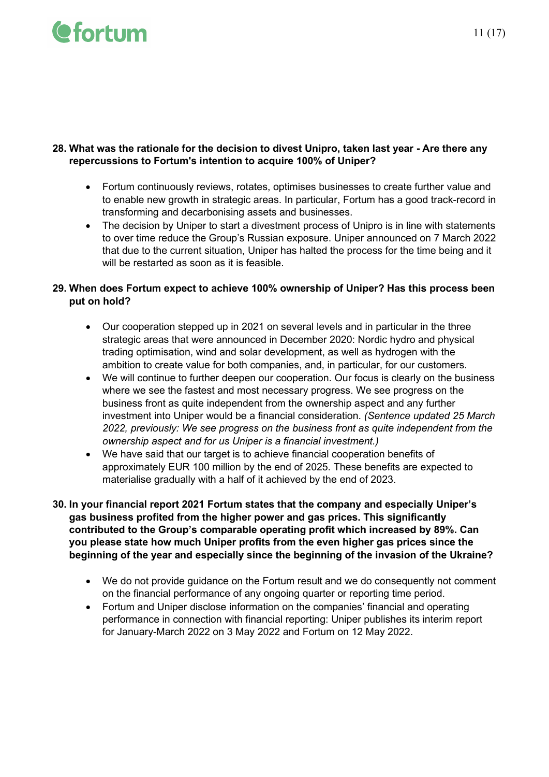#### **28. What was the rationale for the decision to divest Unipro, taken last year - Are there any repercussions to Fortum's intention to acquire 100% of Uniper?**

- Fortum continuously reviews, rotates, optimises businesses to create further value and to enable new growth in strategic areas. In particular, Fortum has a good track-record in transforming and decarbonising assets and businesses.
- The decision by Uniper to start a divestment process of Unipro is in line with statements to over time reduce the Group's Russian exposure. Uniper announced on 7 March 2022 that due to the current situation, Uniper has halted the process for the time being and it will be restarted as soon as it is feasible.

#### **29. When does Fortum expect to achieve 100% ownership of Uniper? Has this process been put on hold?**

- Our cooperation stepped up in 2021 on several levels and in particular in the three strategic areas that were announced in December 2020: Nordic hydro and physical trading optimisation, wind and solar development, as well as hydrogen with the ambition to create value for both companies, and, in particular, for our customers.
- We will continue to further deepen our cooperation. Our focus is clearly on the business where we see the fastest and most necessary progress. We see progress on the business front as quite independent from the ownership aspect and any further investment into Uniper would be a financial consideration. *(Sentence updated 25 March 2022, previously: We see progress on the business front as quite independent from the ownership aspect and for us Uniper is a financial investment.)*
- We have said that our target is to achieve financial cooperation benefits of approximately EUR 100 million by the end of 2025. These benefits are expected to materialise gradually with a half of it achieved by the end of 2023.
- **30. In your financial report 2021 Fortum states that the company and especially Uniper's gas business profited from the higher power and gas prices. This significantly contributed to the Group's comparable operating profit which increased by 89%. Can you please state how much Uniper profits from the even higher gas prices since the beginning of the year and especially since the beginning of the invasion of the Ukraine?** 
	- We do not provide guidance on the Fortum result and we do consequently not comment on the financial performance of any ongoing quarter or reporting time period.
	- Fortum and Uniper disclose information on the companies' financial and operating performance in connection with financial reporting: Uniper publishes its interim report for January-March 2022 on 3 May 2022 and Fortum on 12 May 2022.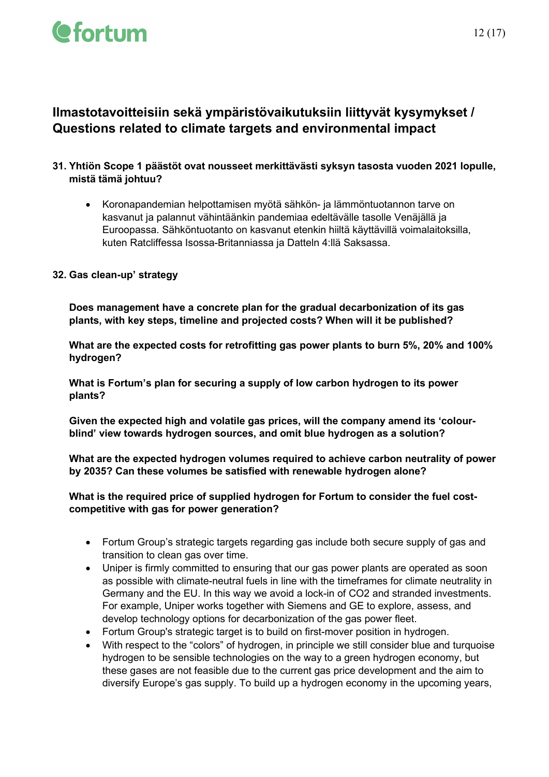### **Ilmastotavoitteisiin sekä ympäristövaikutuksiin liittyvät kysymykset / Questions related to climate targets and environmental impact**

#### **31. Yhtiön Scope 1 päästöt ovat nousseet merkittävästi syksyn tasosta vuoden 2021 lopulle, mistä tämä johtuu?**

• Koronapandemian helpottamisen myötä sähkön- ja lämmöntuotannon tarve on kasvanut ja palannut vähintäänkin pandemiaa edeltävälle tasolle Venäjällä ja Euroopassa. Sähköntuotanto on kasvanut etenkin hiiltä käyttävillä voimalaitoksilla, kuten Ratcliffessa Isossa-Britanniassa ja Datteln 4:llä Saksassa.

#### **32. Gas clean-up' strategy**

**Does management have a concrete plan for the gradual decarbonization of its gas plants, with key steps, timeline and projected costs? When will it be published?**

**What are the expected costs for retrofitting gas power plants to burn 5%, 20% and 100% hydrogen?**

**What is Fortum's plan for securing a supply of low carbon hydrogen to its power plants?**

**Given the expected high and volatile gas prices, will the company amend its 'colourblind' view towards hydrogen sources, and omit blue hydrogen as a solution?**

**What are the expected hydrogen volumes required to achieve carbon neutrality of power by 2035? Can these volumes be satisfied with renewable hydrogen alone?**

**What is the required price of supplied hydrogen for Fortum to consider the fuel costcompetitive with gas for power generation?**

- Fortum Group's strategic targets regarding gas include both secure supply of gas and transition to clean gas over time.
- Uniper is firmly committed to ensuring that our gas power plants are operated as soon as possible with climate-neutral fuels in line with the timeframes for climate neutrality in Germany and the EU. In this way we avoid a lock-in of CO2 and stranded investments. For example, Uniper works together with Siemens and GE to explore, assess, and develop technology options for decarbonization of the gas power fleet.
- Fortum Group's strategic target is to build on first-mover position in hydrogen.
- With respect to the "colors" of hydrogen, in principle we still consider blue and turquoise hydrogen to be sensible technologies on the way to a green hydrogen economy, but these gases are not feasible due to the current gas price development and the aim to diversify Europe's gas supply. To build up a hydrogen economy in the upcoming years,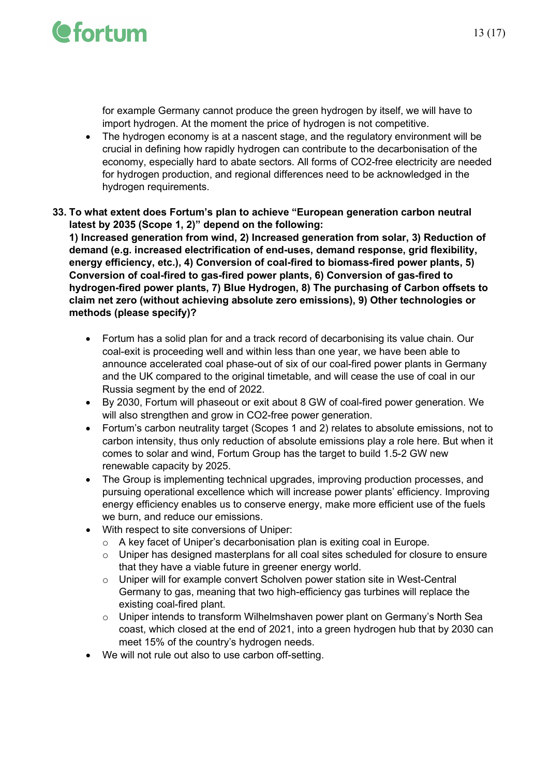

for example Germany cannot produce the green hydrogen by itself, we will have to import hydrogen. At the moment the price of hydrogen is not competitive.

- The hydrogen economy is at a nascent stage, and the regulatory environment will be crucial in defining how rapidly hydrogen can contribute to the decarbonisation of the economy, especially hard to abate sectors. All forms of CO2-free electricity are needed for hydrogen production, and regional differences need to be acknowledged in the hydrogen requirements.
- **33. To what extent does Fortum's plan to achieve "European generation carbon neutral latest by 2035 (Scope 1, 2)" depend on the following:**

**1) Increased generation from wind, 2) Increased generation from solar, 3) Reduction of demand (e.g. increased electrification of end-uses, demand response, grid flexibility, energy efficiency, etc.), 4) Conversion of coal-fired to biomass-fired power plants, 5) Conversion of coal-fired to gas-fired power plants, 6) Conversion of gas-fired to hydrogen-fired power plants, 7) Blue Hydrogen, 8) The purchasing of Carbon offsets to claim net zero (without achieving absolute zero emissions), 9) Other technologies or methods (please specify)?** 

- Fortum has a solid plan for and a track record of decarbonising its value chain. Our coal-exit is proceeding well and within less than one year, we have been able to announce accelerated coal phase-out of six of our coal-fired power plants in Germany and the UK compared to the original timetable, and will cease the use of coal in our Russia segment by the end of 2022.
- By 2030, Fortum will phaseout or exit about 8 GW of coal-fired power generation. We will also strengthen and grow in CO2-free power generation.
- Fortum's carbon neutrality target (Scopes 1 and 2) relates to absolute emissions, not to carbon intensity, thus only reduction of absolute emissions play a role here. But when it comes to solar and wind, Fortum Group has the target to build 1.5-2 GW new renewable capacity by 2025.
- The Group is implementing technical upgrades, improving production processes, and pursuing operational excellence which will increase power plants' efficiency. Improving energy efficiency enables us to conserve energy, make more efficient use of the fuels we burn, and reduce our emissions.
- With respect to site conversions of Uniper:
	- o A key facet of Uniper's decarbonisation plan is exiting coal in Europe.
	- o Uniper has designed masterplans for all coal sites scheduled for closure to ensure that they have a viable future in greener energy world.
	- o Uniper will for example convert Scholven power station site in West-Central Germany to gas, meaning that two high-efficiency gas turbines will replace the existing coal-fired plant.
	- $\circ$  Uniper intends to transform Wilhelmshaven power plant on Germany's North Sea coast, which closed at the end of 2021, into a green hydrogen hub that by 2030 can meet 15% of the country's hydrogen needs.
- We will not rule out also to use carbon off-setting.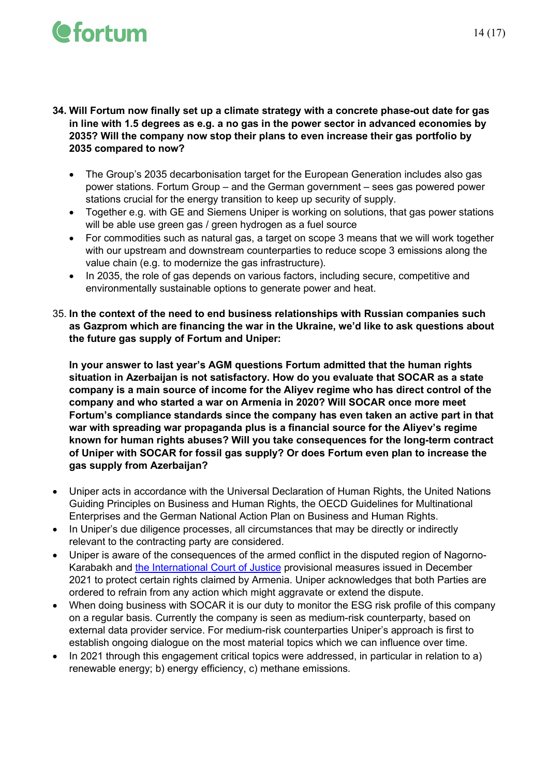- **34. Will Fortum now finally set up a climate strategy with a concrete phase-out date for gas in line with 1.5 degrees as e.g. a no gas in the power sector in advanced economies by 2035? Will the company now stop their plans to even increase their gas portfolio by 2035 compared to now?**
	- The Group's 2035 decarbonisation target for the European Generation includes also gas power stations. Fortum Group – and the German government – sees gas powered power stations crucial for the energy transition to keep up security of supply.
	- Together e.g. with GE and Siemens Uniper is working on solutions, that gas power stations will be able use green gas / green hydrogen as a fuel source
	- For commodities such as natural gas, a target on scope 3 means that we will work together with our upstream and downstream counterparties to reduce scope 3 emissions along the value chain (e.g. to modernize the gas infrastructure).
	- In 2035, the role of gas depends on various factors, including secure, competitive and environmentally sustainable options to generate power and heat.
- 35. **In the context of the need to end business relationships with Russian companies such as Gazprom which are financing the war in the Ukraine, we'd like to ask questions about the future gas supply of Fortum and Uniper:**

**In your answer to last year's AGM questions Fortum admitted that the human rights situation in Azerbaijan is not satisfactory. How do you evaluate that SOCAR as a state company is a main source of income for the Aliyev regime who has direct control of the company and who started a war on Armenia in 2020? Will SOCAR once more meet Fortum's compliance standards since the company has even taken an active part in that war with spreading war propaganda plus is a financial source for the Aliyev's regime known for human rights abuses? Will you take consequences for the long-term contract of Uniper with SOCAR for fossil gas supply? Or does Fortum even plan to increase the gas supply from Azerbaijan?**

- Uniper acts in accordance with the Universal Declaration of Human Rights, the United Nations Guiding Principles on Business and Human Rights, the OECD Guidelines for Multinational Enterprises and the German National Action Plan on Business and Human Rights.
- In Uniper's due diligence processes, all circumstances that may be directly or indirectly relevant to the contracting party are considered.
- Uniper is aware of the consequences of the armed conflict in the disputed region of Nagorno-Karabakh and [the International Court of Justice](https://eur03.safelinks.protection.outlook.com/?url=https%3A%2F%2Fwww.icj-cij.org%2Fpublic%2Ffiles%2Fcase-related%2F180%2F180-20211207-PRE-01-00-EN.pdf&data=04%7C01%7Crick.marleaux%40uniper.energy%7C5e8f8892c60f44be4f8b08da06894bf2%7Cdb8e2f828a374c09b7deed06547b5a20%7C0%7C0%7C637829483996580635%7CUnknown%7CTWFpbGZsb3d8eyJWIjoiMC4wLjAwMDAiLCJQIjoiV2luMzIiLCJBTiI6Ik1haWwiLCJXVCI6Mn0%3D%7C3000&sdata=V%2Fg3Dtrbb6Zx3lvElZ0A0cy%2By%2FIKFD6ZE7S%2BI%2FLm%2Fv8%3D&reserved=0) provisional measures issued in December 2021 to protect certain rights claimed by Armenia. Uniper acknowledges that both Parties are ordered to refrain from any action which might aggravate or extend the dispute.
- When doing business with SOCAR it is our duty to monitor the ESG risk profile of this company on a regular basis. Currently the company is seen as medium-risk counterparty, based on external data provider service. For medium-risk counterparties Uniper's approach is first to establish ongoing dialogue on the most material topics which we can influence over time.
- In 2021 through this engagement critical topics were addressed, in particular in relation to a) renewable energy; b) energy efficiency, c) methane emissions.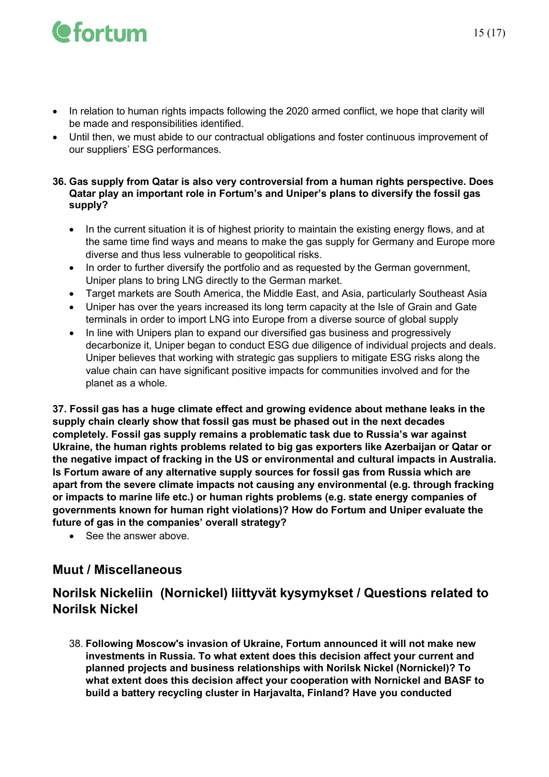# **O**fortum

- In relation to human rights impacts following the 2020 armed conflict, we hope that clarity will be made and responsibilities identified.
- Until then, we must abide to our contractual obligations and foster continuous improvement of our suppliers' ESG performances.

#### **36. Gas supply from Qatar is also very controversial from a human rights perspective. Does Qatar play an important role in Fortum's and Uniper's plans to diversify the fossil gas supply?**

- In the current situation it is of highest priority to maintain the existing energy flows, and at the same time find ways and means to make the gas supply for Germany and Europe more diverse and thus less vulnerable to geopolitical risks.
- In order to further diversify the portfolio and as requested by the German government, Uniper plans to bring LNG directly to the German market.
- Target markets are South America, the Middle East, and Asia, particularly Southeast Asia
- Uniper has over the years increased its long term capacity at the Isle of Grain and Gate terminals in order to import LNG into Europe from a diverse source of global supply
- In line with Unipers plan to expand our diversified gas business and progressively decarbonize it, Uniper began to conduct ESG due diligence of individual projects and deals. Uniper believes that working with strategic gas suppliers to mitigate ESG risks along the value chain can have significant positive impacts for communities involved and for the planet as a whole.

**37. Fossil gas has a huge climate effect and growing evidence about methane leaks in the supply chain clearly show that fossil gas must be phased out in the next decades completely. Fossil gas supply remains a problematic task due to Russia's war against Ukraine, the human rights problems related to big gas exporters like Azerbaijan or Qatar or the negative impact of fracking in the US or environmental and cultural impacts in Australia. Is Fortum aware of any alternative supply sources for fossil gas from Russia which are apart from the severe climate impacts not causing any environmental (e.g. through fracking or impacts to marine life etc.) or human rights problems (e.g. state energy companies of governments known for human right violations)? How do Fortum and Uniper evaluate the future of gas in the companies' overall strategy?**

• See the answer above.

### **Muut / Miscellaneous**

### **Norilsk Nickeliin (Nornickel) liittyvät kysymykset / Questions related to Norilsk Nickel**

38. **Following Moscow's invasion of Ukraine, Fortum announced it will not make new investments in Russia. To what extent does this decision affect your current and planned projects and business relationships with Norilsk Nickel (Nornickel)? To what extent does this decision affect your cooperation with Nornickel and BASF to build a battery recycling cluster in Harjavalta, Finland? Have you conducted**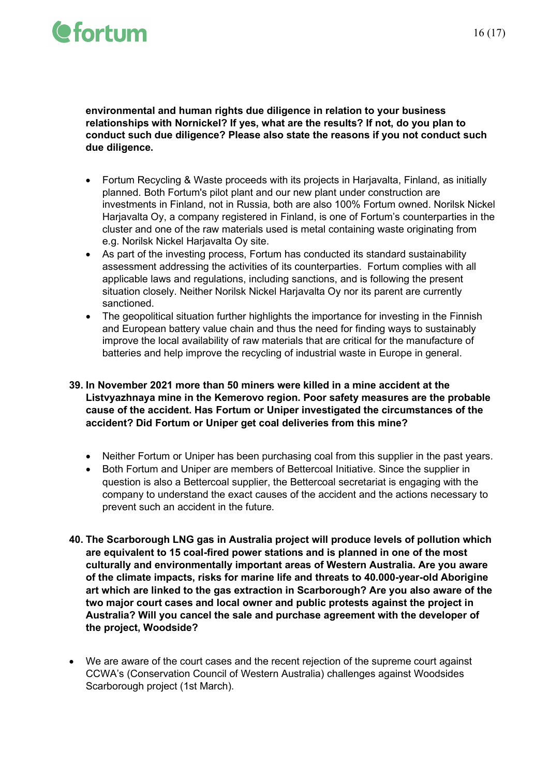**environmental and human rights due diligence in relation to your business relationships with Nornickel? If yes, what are the results? If not, do you plan to conduct such due diligence? Please also state the reasons if you not conduct such due diligence.**

- Fortum Recycling & Waste proceeds with its projects in Harjavalta, Finland, as initially planned. Both Fortum's pilot plant and our new plant under construction are investments in Finland, not in Russia, both are also 100% Fortum owned. Norilsk Nickel Harjavalta Oy, a company registered in Finland, is one of Fortum's counterparties in the cluster and one of the raw materials used is metal containing waste originating from e.g. Norilsk Nickel Harjavalta Oy site.
- As part of the investing process, Fortum has conducted its standard sustainability assessment addressing the activities of its counterparties. Fortum complies with all applicable laws and regulations, including sanctions, and is following the present situation closely. Neither Norilsk Nickel Harjavalta Oy nor its parent are currently sanctioned.
- The geopolitical situation further highlights the importance for investing in the Finnish and European battery value chain and thus the need for finding ways to sustainably improve the local availability of raw materials that are critical for the manufacture of batteries and help improve the recycling of industrial waste in Europe in general.

#### **39. In November 2021 more than 50 miners were killed in a mine accident at the Listvyazhnaya mine in the Kemerovo region. Poor safety measures are the probable cause of the accident. Has Fortum or Uniper investigated the circumstances of the accident? Did Fortum or Uniper get coal deliveries from this mine?**

- Neither Fortum or Uniper has been purchasing coal from this supplier in the past years.
- Both Fortum and Uniper are members of Bettercoal Initiative. Since the supplier in question is also a Bettercoal supplier, the Bettercoal secretariat is engaging with the company to understand the exact causes of the accident and the actions necessary to prevent such an accident in the future.
- **40. The Scarborough LNG gas in Australia project will produce levels of pollution which are equivalent to 15 coal-fired power stations and is planned in one of the most culturally and environmentally important areas of Western Australia. Are you aware of the climate impacts, risks for marine life and threats to 40.000-year-old Aborigine art which are linked to the gas extraction in Scarborough? Are you also aware of the two major court cases and local owner and public protests against the project in Australia? Will you cancel the sale and purchase agreement with the developer of the project, Woodside?**
- We are aware of the court cases and the recent rejection of the supreme court against CCWA's (Conservation Council of Western Australia) challenges against Woodsides Scarborough project (1st March).